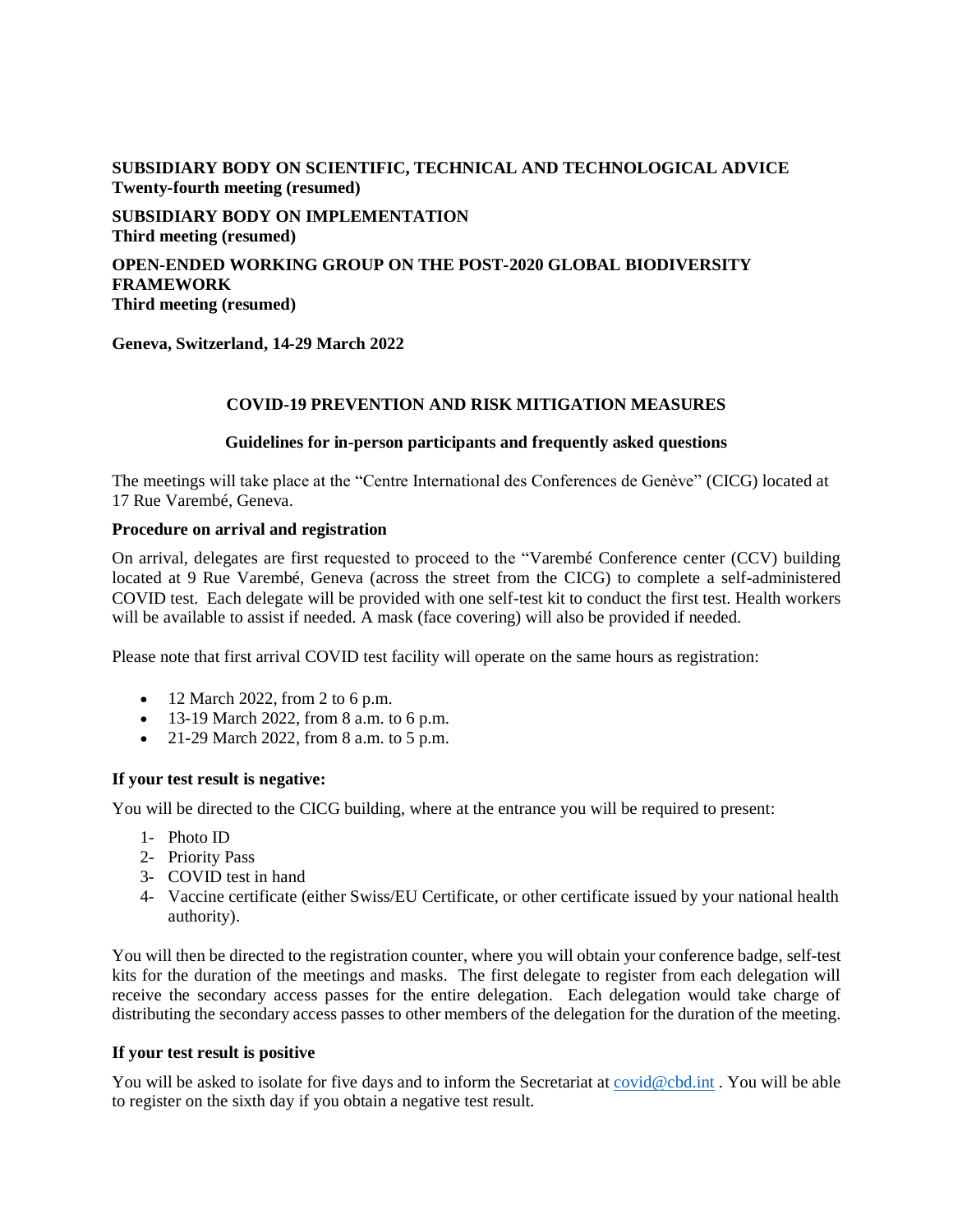# **SUBSIDIARY BODY ON SCIENTIFIC, TECHNICAL AND TECHNOLOGICAL ADVICE Twenty-fourth meeting (resumed)**

**SUBSIDIARY BODY ON IMPLEMENTATION Third meeting (resumed)**

**OPEN-ENDED WORKING GROUP ON THE POST-2020 GLOBAL BIODIVERSITY FRAMEWORK Third meeting (resumed)**

**Geneva, Switzerland, 14-29 March 2022**

## **COVID-19 PREVENTION AND RISK MITIGATION MEASURES**

#### **Guidelines for in-person participants and frequently asked questions**

The meetings will take place at the "Centre International des Conferences de Genève" (CICG) located at 17 Rue Varembé, Geneva.

#### **Procedure on arrival and registration**

On arrival, delegates are first requested to proceed to the "Varembé Conference center (CCV) building located at 9 Rue Varembé, Geneva (across the street from the CICG) to complete a self-administered COVID test. Each delegate will be provided with one self-test kit to conduct the first test. Health workers will be available to assist if needed. A mask (face covering) will also be provided if needed.

Please note that first arrival COVID test facility will operate on the same hours as registration:

- $\bullet$  12 March 2022, from 2 to 6 p.m.
- 13-19 March 2022, from 8 a.m. to 6 p.m.
- 21-29 March 2022, from 8 a.m. to 5 p.m.

#### **If your test result is negative:**

You will be directed to the CICG building, where at the entrance you will be required to present:

- 1- Photo ID
- 2- Priority Pass
- 3- COVID test in hand
- 4- Vaccine certificate (either Swiss/EU Certificate, or other certificate issued by your national health authority).

You will then be directed to the registration counter, where you will obtain your conference badge, self-test kits for the duration of the meetings and masks. The first delegate to register from each delegation will receive the secondary access passes for the entire delegation. Each delegation would take charge of distributing the secondary access passes to other members of the delegation for the duration of the meeting.

## **If your test result is positive**

You will be asked to isolate for five days and to inform the Secretariat at [covid@cbd.int](mailto:covid@cbd.int). You will be able to register on the sixth day if you obtain a negative test result.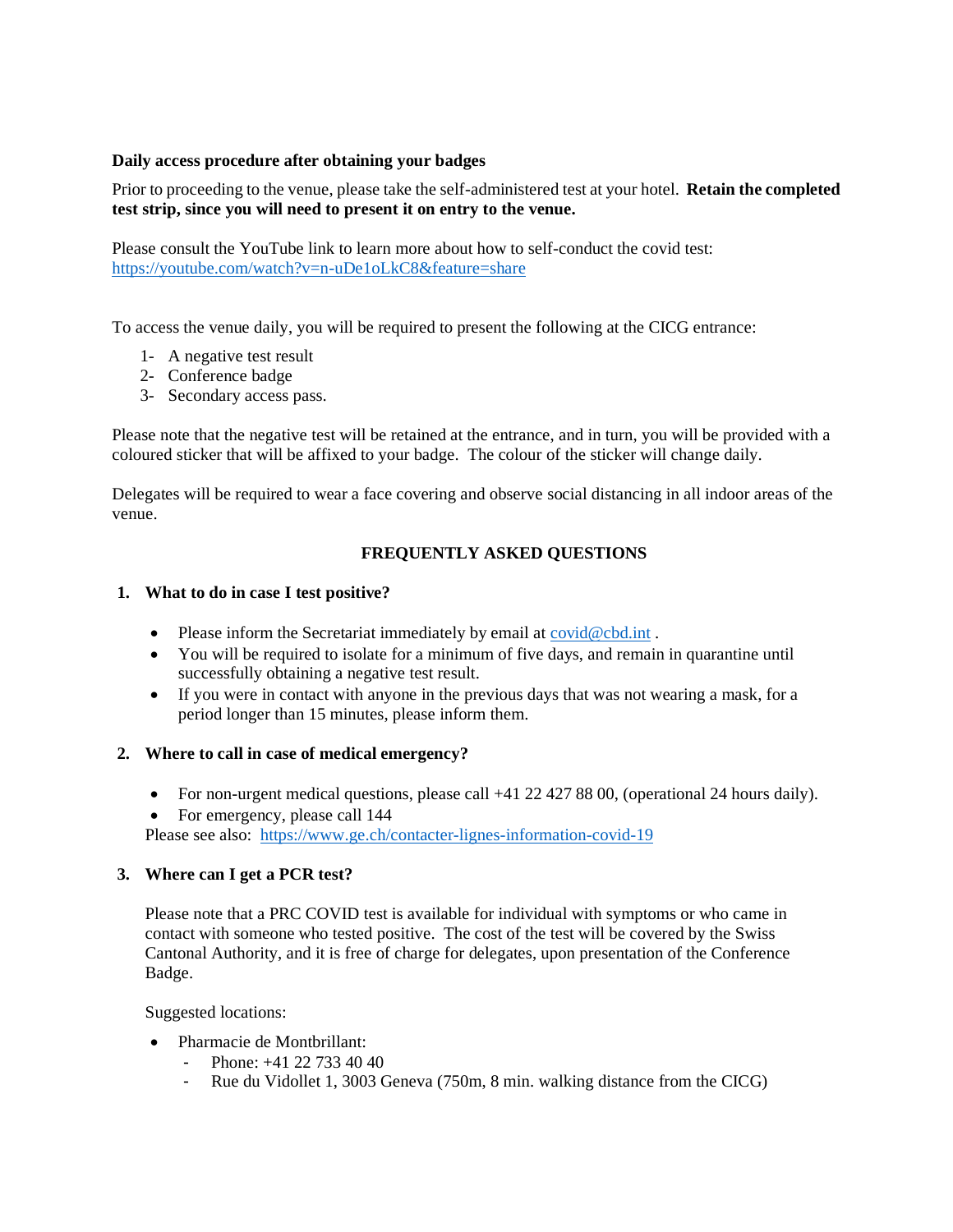## **Daily access procedure after obtaining your badges**

Prior to proceeding to the venue, please take the self-administered test at your hotel. **Retain the completed test strip, since you will need to present it on entry to the venue.**

Please consult the YouTube link to learn more about how to self-conduct the covid test: <https://youtube.com/watch?v=n-uDe1oLkC8&feature=share>

To access the venue daily, you will be required to present the following at the CICG entrance:

- 1- A negative test result
- 2- Conference badge
- 3- Secondary access pass.

Please note that the negative test will be retained at the entrance, and in turn, you will be provided with a coloured sticker that will be affixed to your badge. The colour of the sticker will change daily.

Delegates will be required to wear a face covering and observe social distancing in all indoor areas of the venue.

## **FREQUENTLY ASKED QUESTIONS**

# **1. What to do in case I test positive?**

- Please inform the Secretariat immediately by email at [covid@cbd.int](mailto:covid@cbd.int).
- You will be required to isolate for a minimum of five days, and remain in quarantine until successfully obtaining a negative test result.
- If you were in contact with anyone in the previous days that was not wearing a mask, for a period longer than 15 minutes, please inform them.

### **2. Where to call in case of medical emergency?**

- For non-urgent medical questions, please call +41 22 427 88 00, (operational 24 hours daily).
- For emergency, please call 144

Please see also: <https://www.ge.ch/contacter-lignes-information-covid-19>

#### **3. Where can I get a PCR test?**

Please note that a PRC COVID test is available for individual with symptoms or who came in contact with someone who tested positive. The cost of the test will be covered by the Swiss Cantonal Authority, and it is free of charge for delegates, upon presentation of the Conference Badge.

Suggested locations:

- Pharmacie de Montbrillant:
	- Phone:  $+41$  22 733 40 40
	- Rue du Vidollet 1, 3003 Geneva (750m, 8 min. walking distance from the CICG)